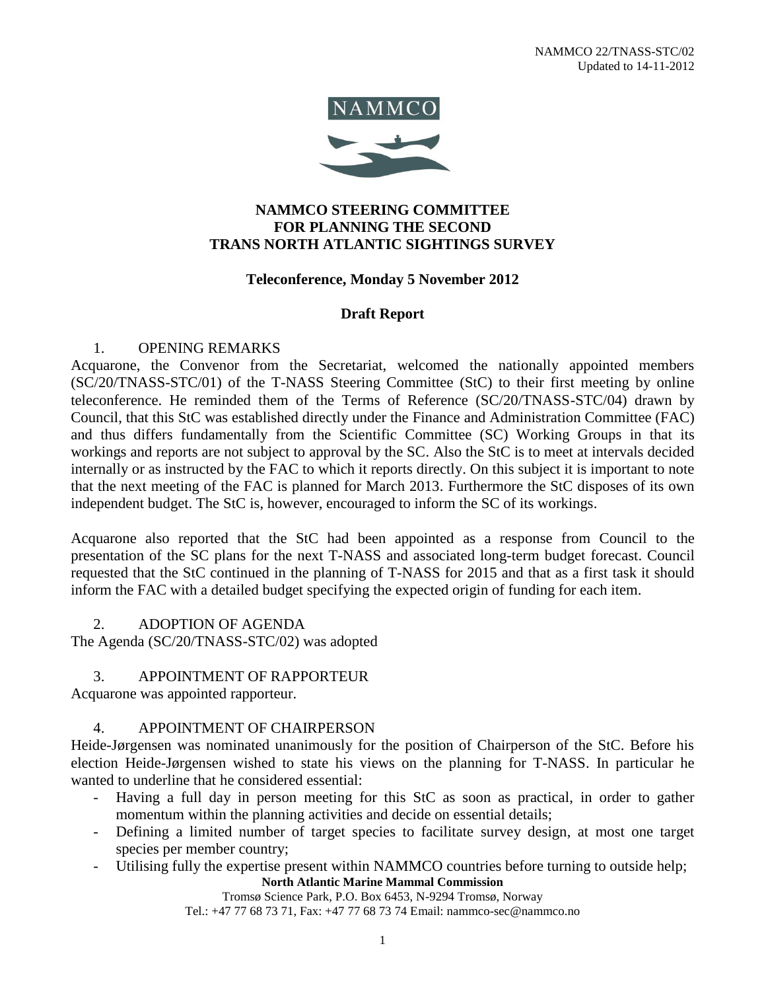

## **NAMMCO STEERING COMMITTEE FOR PLANNING THE SECOND TRANS NORTH ATLANTIC SIGHTINGS SURVEY**

## **Teleconference, Monday 5 November 2012**

## **Draft Report**

#### 1. OPENING REMARKS

Acquarone, the Convenor from the Secretariat, welcomed the nationally appointed members (SC/20/TNASS-STC/01) of the T-NASS Steering Committee (StC) to their first meeting by online teleconference. He reminded them of the Terms of Reference (SC/20/TNASS-STC/04) drawn by Council, that this StC was established directly under the Finance and Administration Committee (FAC) and thus differs fundamentally from the Scientific Committee (SC) Working Groups in that its workings and reports are not subject to approval by the SC. Also the StC is to meet at intervals decided internally or as instructed by the FAC to which it reports directly. On this subject it is important to note that the next meeting of the FAC is planned for March 2013. Furthermore the StC disposes of its own independent budget. The StC is, however, encouraged to inform the SC of its workings.

Acquarone also reported that the StC had been appointed as a response from Council to the presentation of the SC plans for the next T-NASS and associated long-term budget forecast. Council requested that the StC continued in the planning of T-NASS for 2015 and that as a first task it should inform the FAC with a detailed budget specifying the expected origin of funding for each item.

#### 2. ADOPTION OF AGENDA

The Agenda (SC/20/TNASS-STC/02) was adopted

#### 3. APPOINTMENT OF RAPPORTEUR

Acquarone was appointed rapporteur.

# 4. APPOINTMENT OF CHAIRPERSON

Heide-Jørgensen was nominated unanimously for the position of Chairperson of the StC. Before his election Heide-Jørgensen wished to state his views on the planning for T-NASS. In particular he wanted to underline that he considered essential:

- Having a full day in person meeting for this StC as soon as practical, in order to gather momentum within the planning activities and decide on essential details;
- Defining a limited number of target species to facilitate survey design, at most one target species per member country;
- **North Atlantic Marine Mammal Commission** - Utilising fully the expertise present within NAMMCO countries before turning to outside help;

Tromsø Science Park, P.O. Box 6453, N-9294 Tromsø, Norway

Tel.: +47 77 68 73 71, Fax: +47 77 68 73 74 Email: nammco-sec@nammco.no